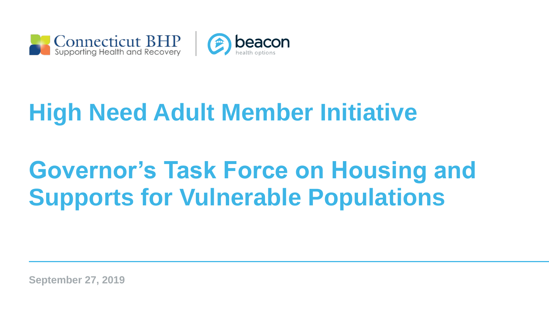



# **High Need Adult Member Initiative**

# **Governor's Task Force on Housing and Supports for Vulnerable Populations**

**September 27, 2019**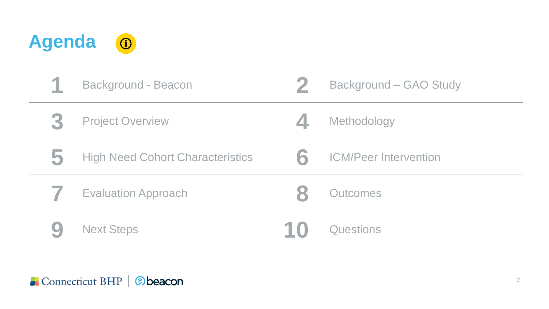

|   | <b>Background - Beacon</b>              |     | <b>Background - GAO Study</b> |
|---|-----------------------------------------|-----|-------------------------------|
| 3 | <b>Project Overview</b>                 |     | Methodology                   |
| 5 | <b>High Need Cohort Characteristics</b> |     | <b>ICM/Peer Intervention</b>  |
|   | <b>Evaluation Approach</b>              |     | <b>Outcomes</b>               |
|   | <b>Next Steps</b>                       | 7 U | <b>Questions</b>              |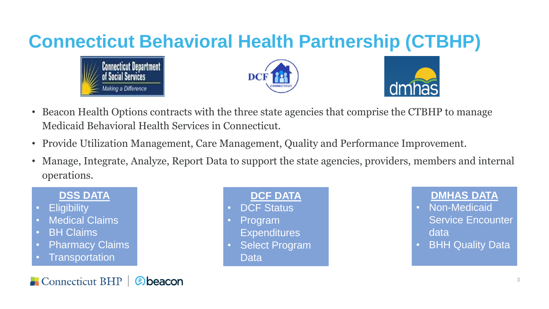# **Connecticut Behavioral Health Partnership (CTBHP)**







- Beacon Health Options contracts with the three state agencies that comprise the CTBHP to manage Medicaid Behavioral Health Services in Connecticut.
- Provide Utilization Management, Care Management, Quality and Performance Improvement.
- Manage, Integrate, Analyze, Report Data to support the state agencies, providers, members and internal operations.

#### **DSS DATA**

- **Eligibility**
- **Medical Claims**
- **BH Claims**
- **Pharmacy Claims**
- **Transportation**

#### $\blacksquare$  Connecticut BHP **Øbeacon**

**DCF DATA**

- DCF Status
- Program
	- **Expenditures**
- **Select Program** Data

#### **DMHAS DATA**

- Non-Medicaid Service Encounter data
- **BHH Quality Data**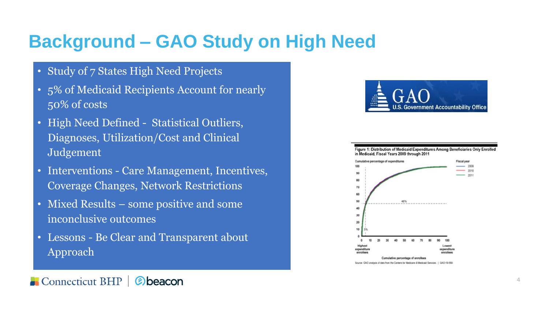# **Background – GAO Study on High Need**

- Study of 7 States High Need Projects
- 5% of Medicaid Recipients Account for nearly 50% of costs
- High Need Defined Statistical Outliers, Diagnoses, Utilization/Cost and Clinical Judgement
- Interventions Care Management, Incentives, Coverage Changes, Network Restrictions
- Mixed Results some positive and some inconclusive outcomes
- Lessons Be Clear and Transparent about Approach







#### $\blacksquare$  Connecticut BHP **(a) beacon**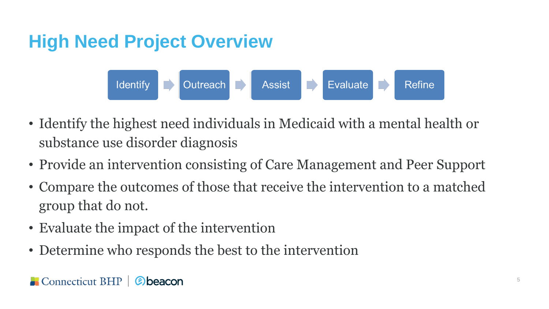# **High Need Project Overview**



- Identify the highest need individuals in Medicaid with a mental health or substance use disorder diagnosis
- Provide an intervention consisting of Care Management and Peer Support
- Compare the outcomes of those that receive the intervention to a matched group that do not.
- Evaluate the impact of the intervention
- Determine who responds the best to the intervention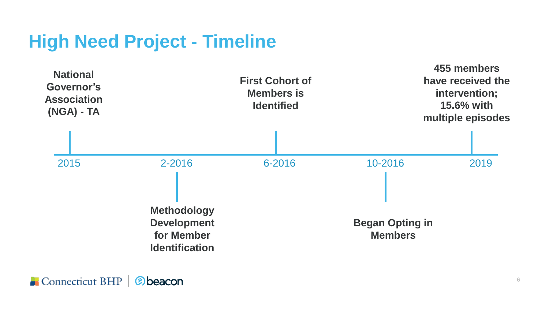## **High Need Project - Timeline**

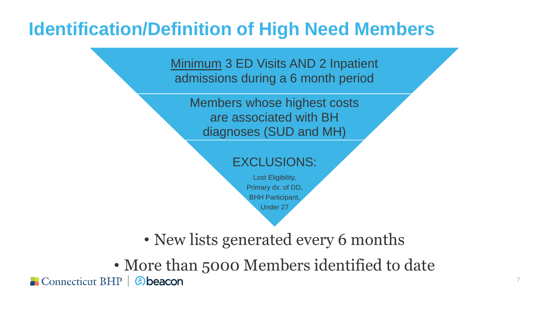# **Identification/Definition of High Need Members**

Minimum 3 ED Visits AND 2 Inpatient admissions during a 6 month period

Members whose highest costs are associated with BH diagnoses (SUD and MH)



• New lists generated every 6 months

• More than 5000 Members identified to date Connecticut BHP | Cobeacon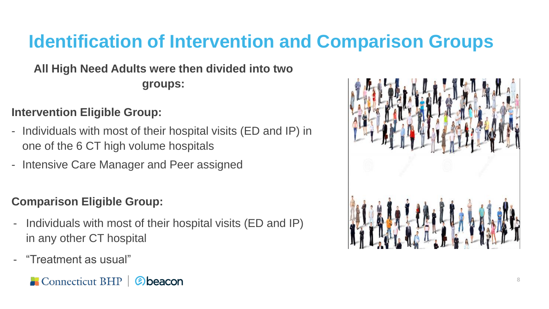# **Identification of Intervention and Comparison Groups**

### **All High Need Adults were then divided into two groups:**

#### **Intervention Eligible Group:**

- Individuals with most of their hospital visits (ED and IP) in one of the 6 CT high volume hospitals
- Intensive Care Manager and Peer assigned

### **Comparison Eligible Group:**

- Individuals with most of their hospital visits (ED and IP) in any other CT hospital
- "Treatment as usual"

### Connecticut BHP | @beacon

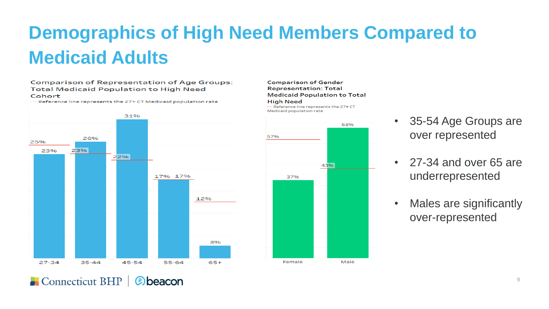# **Demographics of High Need Members Compared to Medicaid Adults**

57%

37%

Female

#### **Comparison of Representation of Age Groups: Total Medicaid Population to High Need** Cohort

Reference line represents the 27+ CT Medicaid population rate

 $\blacksquare$  Connecticut BHP



**Øbeacon** 

**Comparison of Gender Representation: Total Medicaid Population to Total High Need** Reference line represents the 27+ CT

Medicaid population rate

43%

63%

Male

- 35-54 Age Groups are over represented
	- 27-34 and over 65 are underrepresented
	- Males are significantly over-represented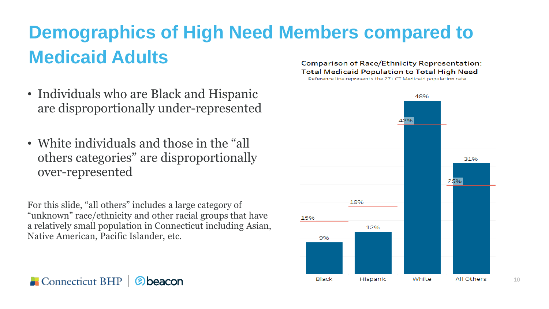### **Demographics of High Need Members compared to Medicaid Adults Comparison of Race/Ethnicity Representation:**

- Individuals who are Black and Hispanic are disproportionally under-represented
- White individuals and those in the "all others categories" are disproportionally over-represented

For this slide, "all others" includes a large category of "unknown" race/ethnicity and other racial groups that have a relatively small population in Connecticut including Asian, Native American, Pacific Islander, etc.



**Total Medicaid Population to Total High Need** Reference line represents the 27+ CT Medicaid population rate



**10**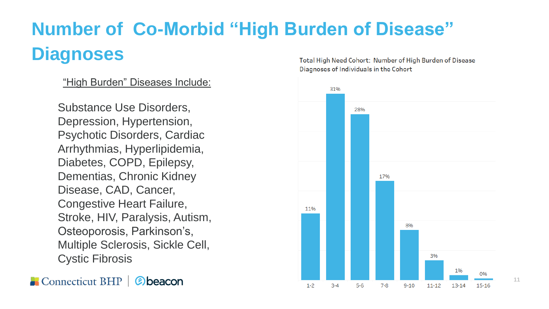# **Number of Co-Morbid "High Burden of Disease" Diagnoses**

#### "High Burden" Diseases Include:

Substance Use Disorders, Depression, Hypertension, Psychotic Disorders, Cardiac Arrhythmias, Hyperlipidemia, Diabetes, COPD, Epilepsy, Dementias, Chronic Kidney Disease, CAD, Cancer, Congestive Heart Failure, Stroke, HIV, Paralysis, Autism, Osteoporosis, Parkinson's, Multiple Sclerosis, Sickle Cell, Cystic Fibrosis

 $\blacksquare$  Connecticut BHP *C* beacon Total High Need Cohort: Number of High Burden of Disease Diagnoses of Individuals in the Cohort



**11**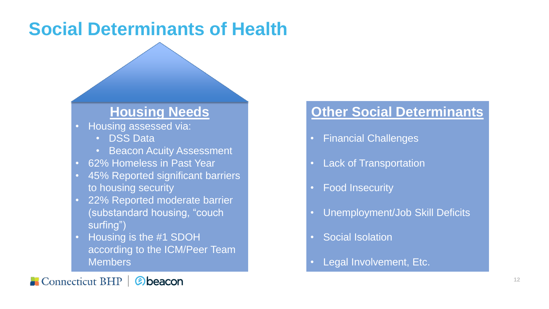# **Social Determinants of Health**

### **Housing Needs**

- Housing assessed via:
	- DSS Data
	- Beacon Acuity Assessment
- 62% Homeless in Past Year
- 45% Reported significant barriers to housing security
- 22% Reported moderate barrier (substandard housing, "couch surfing")
- Housing is the #1 SDOH according to the ICM/Peer Team **Members**

### **Other Social Determinants**

- Financial Challenges
- Lack of Transportation
- Food Insecurity
- Unemployment/Job Skill Deficits
- Social Isolation
- Legal Involvement, Etc.

Connecticut BHP | Cobeacon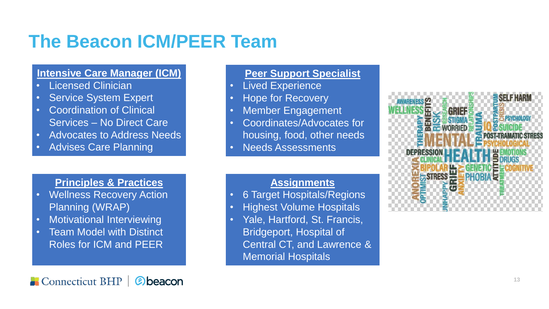# **The Beacon ICM/PEER Team**

#### **Intensive Care Manager (ICM)**

- **Licensed Clinician**
- Service System Expert
- Coordination of Clinical Services – No Direct Care
- Advocates to Address Needs
- Advises Care Planning

#### **Peer Support Specialist**

- Lived Experience
- Hope for Recovery
- Member Engagement
- Coordinates/Advocates for housing, food, other needs
- Needs Assessments



#### **Principles & Practices**

- Wellness Recovery Action Planning (WRAP)
- Motivational Interviewing
- **Team Model with Distinct** Roles for ICM and PEER

#### $\blacksquare$  Connecticut BHP *C* beacon

#### **Assignments**

- 6 Target Hospitals/Regions
- Highest Volume Hospitals
- Yale, Hartford, St. Francis, Bridgeport, Hospital of Central CT, and Lawrence & Memorial Hospitals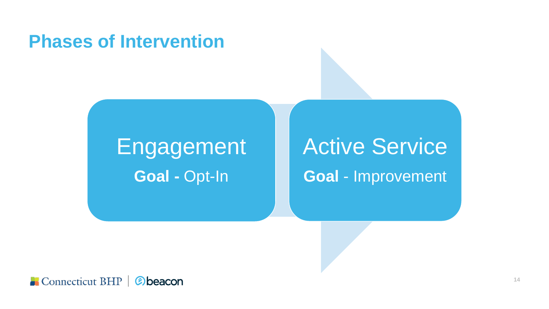## **Phases of Intervention**

# Engagement **Goal -** Opt-In

# Active Service **Goal** - Improvement

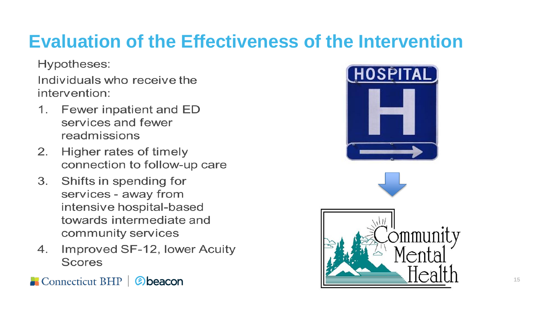# **Evaluation of the Effectiveness of the Intervention**

Hypotheses:

Individuals who receive the intervention:

- Fewer inpatient and ED  $\mathbf 1$ . services and fewer readmissions
- Higher rates of timely  $2_{-}$ connection to follow-up care
- Shifts in spending for  $3<sub>1</sub>$ services - away from intensive hospital-based towards intermediate and community services
- Improved SF-12, lower Acuity 4. **Scores**
- $\blacksquare$  Connecticut BHP *C* beacon

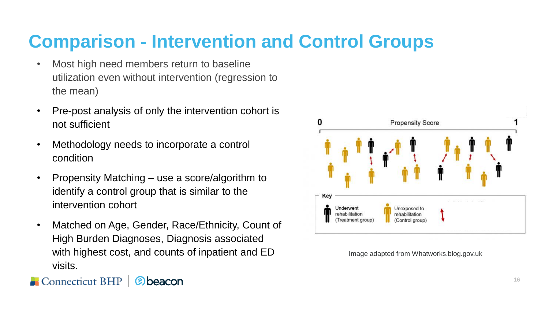# **Comparison - Intervention and Control Groups**

- Most high need members return to baseline utilization even without intervention (regression to the mean)
- Pre-post analysis of only the intervention cohort is not sufficient
- Methodology needs to incorporate a control condition
- Propensity Matching use a score/algorithm to identify a control group that is similar to the intervention cohort
- Matched on Age, Gender, Race/Ethnicity, Count of High Burden Diagnoses, Diagnosis associated with highest cost, and counts of inpatient and ED visits.



Image adapted from Whatworks.blog.gov.uk

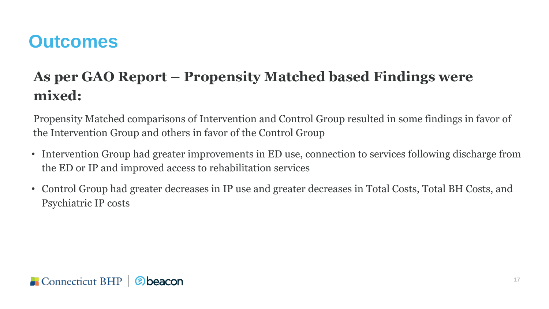## **Outcomes**

## **As per GAO Report – Propensity Matched based Findings were mixed:**

Propensity Matched comparisons of Intervention and Control Group resulted in some findings in favor of the Intervention Group and others in favor of the Control Group

- Intervention Group had greater improvements in ED use, connection to services following discharge from the ED or IP and improved access to rehabilitation services
- Control Group had greater decreases in IP use and greater decreases in Total Costs, Total BH Costs, and Psychiatric IP costs

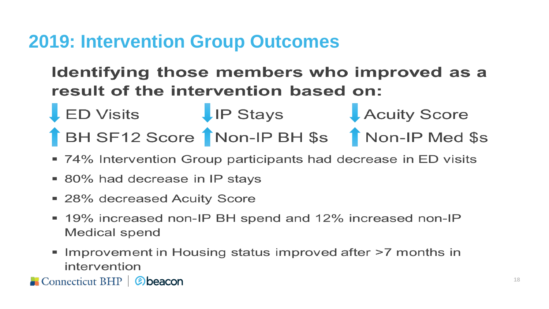# **2019: Intervention Group Outcomes**

## Identifying those members who improved as a result of the intervention based on:

LED Visits LIP Stays LAcuity Score BH SF12 Score Non-IP BH \$s Non-IP Med \$s

- 74% Intervention Group participants had decrease in ED visits
- 80% had decrease in IP stays
- 28% decreased Acuity Score
- 19% increased non-IP BH spend and 12% increased non-IP **Medical spend**
- Improvement in Housing status improved after >7 months in intervention

Connecticut BHP | @beacon